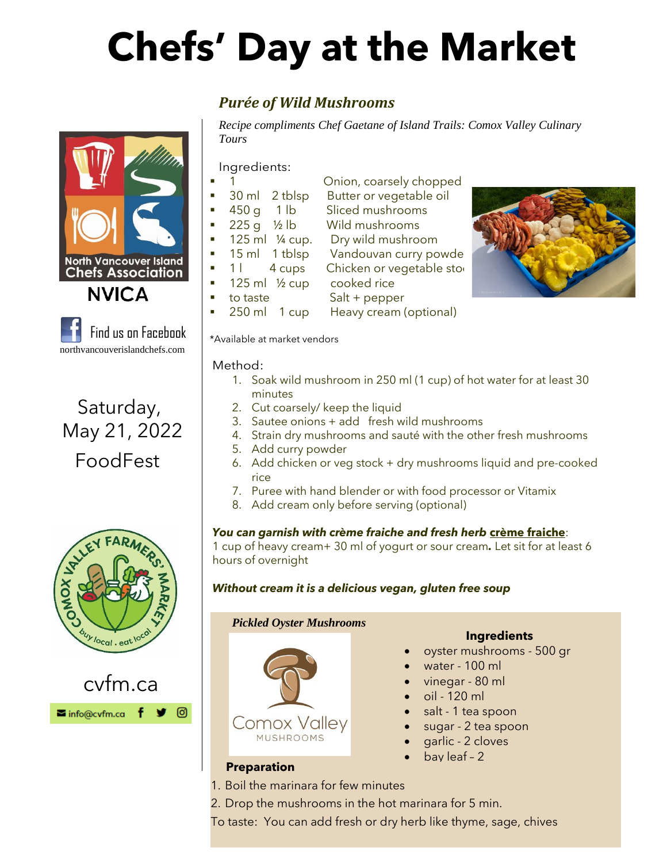# **Chefs' Day at the Market**

### *Purée of Wild Mushrooms*

*Recipe compliments Chef Gaetane of Island Trails: Comox Valley Culinary Tours*

Onion, coarsely chopped

Ingredients:

- 
- 30 ml 2 tblsp Butter or vegetable oil
- 450 g 1 lb Sliced mushrooms
- 225 g 1/2 lb Wild mushrooms
- 125 ml 1/4 cup. Dry wild mushroom
- 15 ml 1 tblsp Vandouvan curry powde
- 1 l 4 cups Chicken or vegetable stod
- 125 ml  $\frac{1}{2}$  cup cooked rice
- to taste Salt + pepper
	- 250 ml 1 cup Heavy cream (optional)

\*Available at market vendors

Method:

- 1. Soak wild mushroom in 250 ml (1 cup) of hot water for at least 30 minutes
- 2. Cut coarsely/ keep the liquid
- 3. Sautee onions + add fresh wild mushrooms
- 4. Strain dry mushrooms and sauté with the other fresh mushrooms
- 5. Add curry powder
- 6. Add chicken or veg stock + dry mushrooms liquid and pre-cooked rice
- 7. Puree with hand blender or with food processor or Vitamix
- 8. Add cream only before serving (optional)

### *You can garnish with crème fraiche and fresh herb* **crème fraiche**:

1 cup of heavy cream+ 30 ml of yogurt or sour cream*.* Let sit for at least 6 hours of overnight

### *Without cream it is a delicious vegan, gluten free soup*

 *Pickled Oyster Mushrooms*



### **Ingredients**

- oyster mushrooms 500 gr
- water 100 ml
- vinegar 80 ml
- oil 120 ml
- salt 1 tea spoon
- sugar 2 tea spoon
- garlic 2 cloves
- bay leaf 2

### **Preparation**

- 1. Boil the marinara for few minutes
- 2. Drop the mushrooms in the hot marinara for 5 min.
- To taste: You can add fresh or dry herb like thyme, sage, chives





Find us on Facebook

northvancouverislandchefs.com

**North Vancouver Island** 

**NVICA** 

Saturday,

May 21, 2022

FoodFest